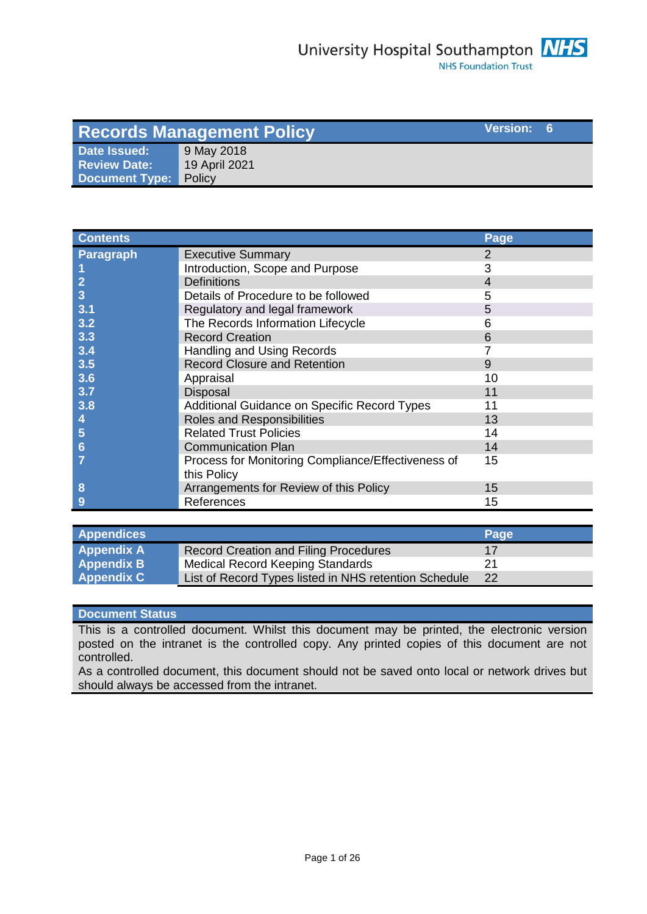| Version: 6<br><b>Records Management Policy</b> |               |  |  |
|------------------------------------------------|---------------|--|--|
| Date Issued:                                   | 9 May 2018    |  |  |
| <b>Review Date:</b>                            | 19 April 2021 |  |  |
| Document Type:                                 | Policy        |  |  |

| <b>Contents</b>  |                                                    | Page |
|------------------|----------------------------------------------------|------|
| <b>Paragraph</b> | <b>Executive Summary</b>                           | 2    |
|                  | Introduction, Scope and Purpose                    | 3    |
| $\mathbf{2}$     | <b>Definitions</b>                                 | 4    |
| 3                | Details of Procedure to be followed                | 5    |
| 3.1              | Regulatory and legal framework                     | 5    |
| 3.2              | The Records Information Lifecycle                  | 6    |
| 3.3              | <b>Record Creation</b>                             | 6    |
| 3.4              | Handling and Using Records                         |      |
| 3.5              | <b>Record Closure and Retention</b>                | 9    |
| 3.6              | Appraisal                                          | 10   |
| 3.7              | Disposal                                           | 11   |
| 3.8              | Additional Guidance on Specific Record Types       | 11   |
|                  | Roles and Responsibilities                         | 13   |
| 5                | <b>Related Trust Policies</b>                      | 14   |
| 6                | <b>Communication Plan</b>                          | 14   |
|                  | Process for Monitoring Compliance/Effectiveness of | 15   |
|                  | this Policy                                        |      |
| 8                | Arrangements for Review of this Policy             | 15   |
| 9                | References                                         | 15   |

| <b>Appendices</b> |                                                       | Page |
|-------------------|-------------------------------------------------------|------|
| <b>Appendix A</b> | <b>Record Creation and Filing Procedures</b>          | 17   |
| <b>Appendix B</b> | Medical Record Keeping Standards                      | 21   |
| <b>Appendix C</b> | List of Record Types listed in NHS retention Schedule | 22   |

### **Document Status**

This is a controlled document. Whilst this document may be printed, the electronic version posted on the intranet is the controlled copy. Any printed copies of this document are not controlled.

As a controlled document, this document should not be saved onto local or network drives but should always be accessed from the intranet.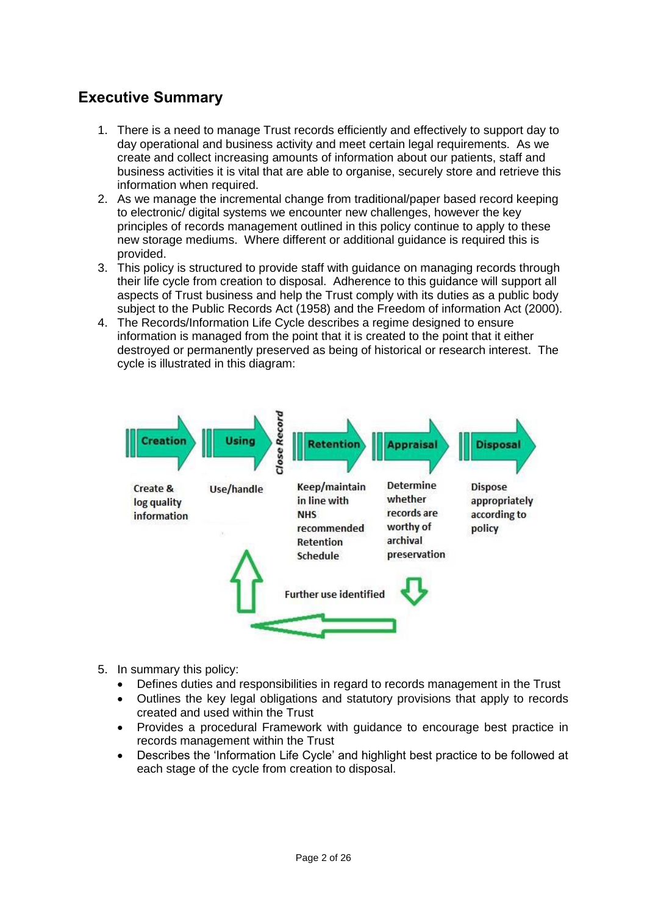# **Executive Summary**

- 1. There is a need to manage Trust records efficiently and effectively to support day to day operational and business activity and meet certain legal requirements. As we create and collect increasing amounts of information about our patients, staff and business activities it is vital that are able to organise, securely store and retrieve this information when required.
- 2. As we manage the incremental change from traditional/paper based record keeping to electronic/ digital systems we encounter new challenges, however the key principles of records management outlined in this policy continue to apply to these new storage mediums. Where different or additional guidance is required this is provided.
- 3. This policy is structured to provide staff with guidance on managing records through their life cycle from creation to disposal. Adherence to this guidance will support all aspects of Trust business and help the Trust comply with its duties as a public body subject to the Public Records Act (1958) and the Freedom of information Act (2000).
- 4. The Records/Information Life Cycle describes a regime designed to ensure information is managed from the point that it is created to the point that it either destroyed or permanently preserved as being of historical or research interest. The cycle is illustrated in this diagram:



- 5. In summary this policy:
	- Defines duties and responsibilities in regard to records management in the Trust
	- Outlines the key legal obligations and statutory provisions that apply to records created and used within the Trust
	- Provides a procedural Framework with guidance to encourage best practice in records management within the Trust
	- Describes the 'Information Life Cycle' and highlight best practice to be followed at each stage of the cycle from creation to disposal.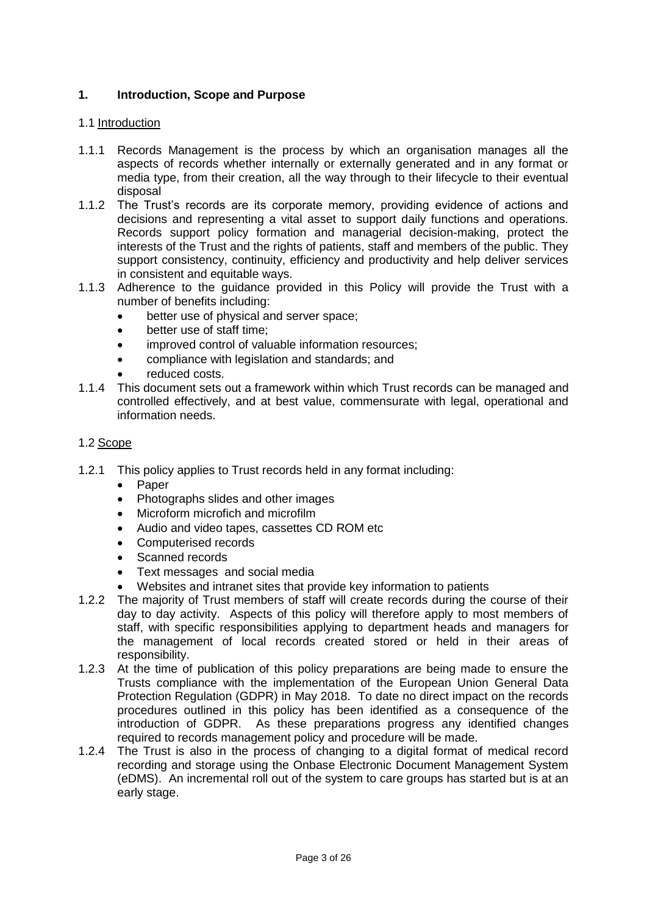## **1. Introduction, Scope and Purpose**

#### 1.1 Introduction

- 1.1.1 Records Management is the process by which an organisation manages all the aspects of records whether internally or externally generated and in any format or media type, from their creation, all the way through to their lifecycle to their eventual disposal
- 1.1.2 The Trust's records are its corporate memory, providing evidence of actions and decisions and representing a vital asset to support daily functions and operations. Records support policy formation and managerial decision-making, protect the interests of the Trust and the rights of patients, staff and members of the public. They support consistency, continuity, efficiency and productivity and help deliver services in consistent and equitable ways.
- 1.1.3 Adherence to the guidance provided in this Policy will provide the Trust with a number of benefits including:
	- better use of physical and server space;
	- better use of staff time;
	- improved control of valuable information resources;
	- compliance with legislation and standards; and
	- reduced costs.
- 1.1.4 This document sets out a framework within which Trust records can be managed and controlled effectively, and at best value, commensurate with legal, operational and information needs.

#### 1.2 Scope

- 1.2.1 This policy applies to Trust records held in any format including:
	- Paper
	- Photographs slides and other images
	- Microform microfich and microfilm
	- Audio and video tapes, cassettes CD ROM etc
	- Computerised records
	- Scanned records
	- Text messages and social media
	- Websites and intranet sites that provide key information to patients
- 1.2.2 The majority of Trust members of staff will create records during the course of their day to day activity. Aspects of this policy will therefore apply to most members of staff, with specific responsibilities applying to department heads and managers for the management of local records created stored or held in their areas of responsibility.
- 1.2.3 At the time of publication of this policy preparations are being made to ensure the Trusts compliance with the implementation of the European Union General Data Protection Regulation (GDPR) in May 2018. To date no direct impact on the records procedures outlined in this policy has been identified as a consequence of the introduction of GDPR. As these preparations progress any identified changes required to records management policy and procedure will be made.
- 1.2.4 The Trust is also in the process of changing to a digital format of medical record recording and storage using the Onbase Electronic Document Management System (eDMS). An incremental roll out of the system to care groups has started but is at an early stage.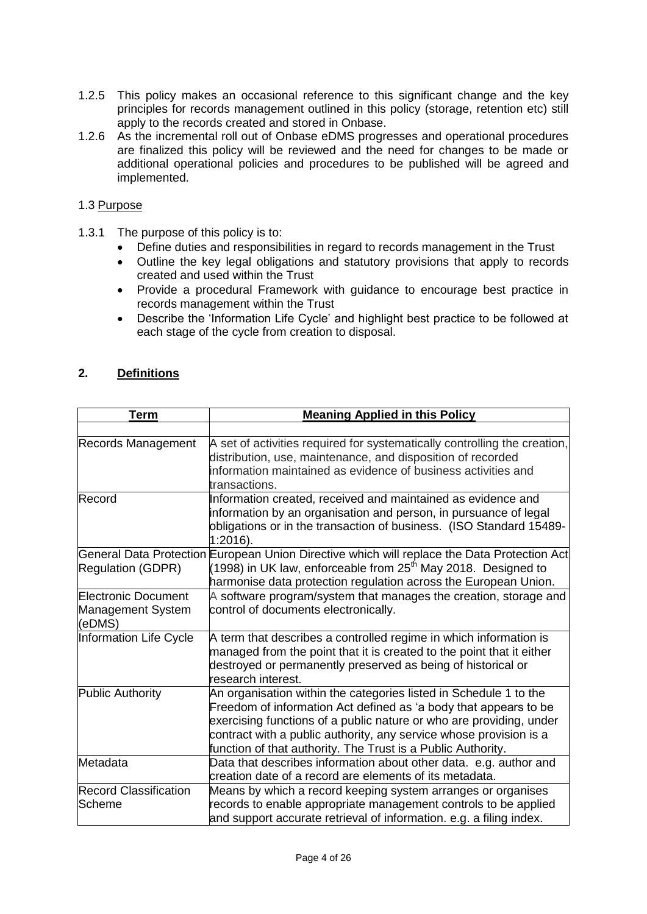- 1.2.5 This policy makes an occasional reference to this significant change and the key principles for records management outlined in this policy (storage, retention etc) still apply to the records created and stored in Onbase.
- 1.2.6 As the incremental roll out of Onbase eDMS progresses and operational procedures are finalized this policy will be reviewed and the need for changes to be made or additional operational policies and procedures to be published will be agreed and implemented.

## 1.3 Purpose

- 1.3.1 The purpose of this policy is to:
	- Define duties and responsibilities in regard to records management in the Trust
	- Outline the key legal obligations and statutory provisions that apply to records created and used within the Trust
	- Provide a procedural Framework with guidance to encourage best practice in records management within the Trust
	- Describe the 'Information Life Cycle' and highlight best practice to be followed at each stage of the cycle from creation to disposal.

# **2. Definitions**

| <b>Term</b>                                        | <b>Meaning Applied in this Policy</b>                                                                                                                                                                                                                                                                                                              |
|----------------------------------------------------|----------------------------------------------------------------------------------------------------------------------------------------------------------------------------------------------------------------------------------------------------------------------------------------------------------------------------------------------------|
|                                                    |                                                                                                                                                                                                                                                                                                                                                    |
| Records Management                                 | A set of activities required for systematically controlling the creation,<br>distribution, use, maintenance, and disposition of recorded<br>information maintained as evidence of business activities and<br>transactions.                                                                                                                         |
| Record                                             | Information created, received and maintained as evidence and<br>information by an organisation and person, in pursuance of legal<br>obligations or in the transaction of business. (ISO Standard 15489-<br>$1:2016$ ).                                                                                                                             |
| <b>Regulation (GDPR)</b>                           | General Data Protection European Union Directive which will replace the Data Protection Act<br>(1998) in UK law, enforceable from $25th$ May 2018. Designed to<br>harmonise data protection regulation across the European Union.                                                                                                                  |
| Electronic Document<br>Management System<br>(eDMS) | A software program/system that manages the creation, storage and<br>control of documents electronically.                                                                                                                                                                                                                                           |
| Information Life Cycle                             | A term that describes a controlled regime in which information is<br>managed from the point that it is created to the point that it either<br>destroyed or permanently preserved as being of historical or<br>research interest.                                                                                                                   |
| Public Authority                                   | An organisation within the categories listed in Schedule 1 to the<br>Freedom of information Act defined as 'a body that appears to be<br>exercising functions of a public nature or who are providing, under<br>contract with a public authority, any service whose provision is a<br>function of that authority. The Trust is a Public Authority. |
| Metadata                                           | Data that describes information about other data. e.g. author and<br>creation date of a record are elements of its metadata.                                                                                                                                                                                                                       |
| <b>Record Classification</b><br>Scheme             | Means by which a record keeping system arranges or organises<br>records to enable appropriate management controls to be applied<br>and support accurate retrieval of information. e.g. a filing index.                                                                                                                                             |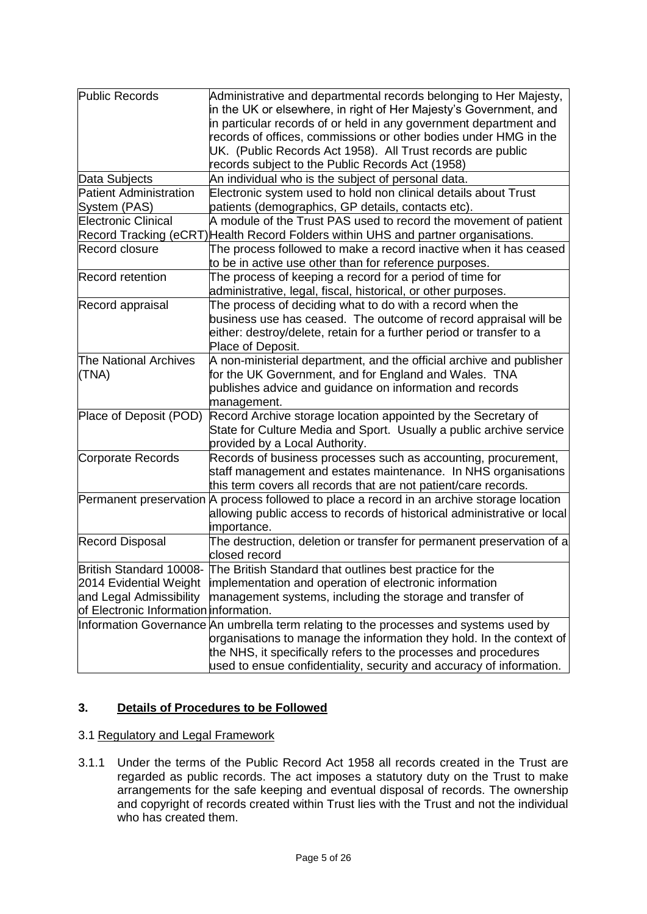| Public Records                         | Administrative and departmental records belonging to Her Majesty,<br>in the UK or elsewhere, in right of Her Majesty's Government, and<br>in particular records of or held in any government department and<br>records of offices, commissions or other bodies under HMG in the<br>UK. (Public Records Act 1958). All Trust records are public<br>records subject to the Public Records Act (1958) |
|----------------------------------------|----------------------------------------------------------------------------------------------------------------------------------------------------------------------------------------------------------------------------------------------------------------------------------------------------------------------------------------------------------------------------------------------------|
| Data Subjects                          | An individual who is the subject of personal data.                                                                                                                                                                                                                                                                                                                                                 |
| <b>Patient Administration</b>          | Electronic system used to hold non clinical details about Trust                                                                                                                                                                                                                                                                                                                                    |
| System (PAS)                           | patients (demographics, GP details, contacts etc).                                                                                                                                                                                                                                                                                                                                                 |
| <b>Electronic Clinical</b>             | A module of the Trust PAS used to record the movement of patient                                                                                                                                                                                                                                                                                                                                   |
|                                        | Record Tracking (eCRT) Health Record Folders within UHS and partner organisations.                                                                                                                                                                                                                                                                                                                 |
| <b>Record closure</b>                  | The process followed to make a record inactive when it has ceased<br>to be in active use other than for reference purposes.                                                                                                                                                                                                                                                                        |
| <b>Record retention</b>                | The process of keeping a record for a period of time for                                                                                                                                                                                                                                                                                                                                           |
|                                        | administrative, legal, fiscal, historical, or other purposes.                                                                                                                                                                                                                                                                                                                                      |
| Record appraisal                       | The process of deciding what to do with a record when the<br>business use has ceased. The outcome of record appraisal will be<br>either: destroy/delete, retain for a further period or transfer to a<br>Place of Deposit.                                                                                                                                                                         |
| <b>The National Archives</b>           | A non-ministerial department, and the official archive and publisher                                                                                                                                                                                                                                                                                                                               |
| (TNA)                                  | for the UK Government, and for England and Wales. TNA                                                                                                                                                                                                                                                                                                                                              |
|                                        | publishes advice and guidance on information and records<br>management.                                                                                                                                                                                                                                                                                                                            |
| Place of Deposit (POD)                 | Record Archive storage location appointed by the Secretary of<br>State for Culture Media and Sport. Usually a public archive service                                                                                                                                                                                                                                                               |
|                                        | provided by a Local Authority.                                                                                                                                                                                                                                                                                                                                                                     |
| Corporate Records                      | Records of business processes such as accounting, procurement,<br>staff management and estates maintenance. In NHS organisations<br>this term covers all records that are not patient/care records.                                                                                                                                                                                                |
|                                        | Permanent preservation A process followed to place a record in an archive storage location<br>allowing public access to records of historical administrative or local<br>importance.                                                                                                                                                                                                               |
| <b>Record Disposal</b>                 | The destruction, deletion or transfer for permanent preservation of a<br>closed record                                                                                                                                                                                                                                                                                                             |
|                                        | British Standard 10008- The British Standard that outlines best practice for the                                                                                                                                                                                                                                                                                                                   |
| 2014 Evidential Weight                 | implementation and operation of electronic information                                                                                                                                                                                                                                                                                                                                             |
| and Legal Admissibility                | management systems, including the storage and transfer of                                                                                                                                                                                                                                                                                                                                          |
| of Electronic Information information. |                                                                                                                                                                                                                                                                                                                                                                                                    |
|                                        | Information Governance An umbrella term relating to the processes and systems used by                                                                                                                                                                                                                                                                                                              |
|                                        | organisations to manage the information they hold. In the context of                                                                                                                                                                                                                                                                                                                               |
|                                        | the NHS, it specifically refers to the processes and procedures                                                                                                                                                                                                                                                                                                                                    |
|                                        | used to ensue confidentiality, security and accuracy of information.                                                                                                                                                                                                                                                                                                                               |

# **3. Details of Procedures to be Followed**

#### 3.1 Regulatory and Legal Framework

3.1.1 Under the terms of the Public Record Act 1958 all records created in the Trust are regarded as public records. The act imposes a statutory duty on the Trust to make arrangements for the safe keeping and eventual disposal of records. The ownership and copyright of records created within Trust lies with the Trust and not the individual who has created them.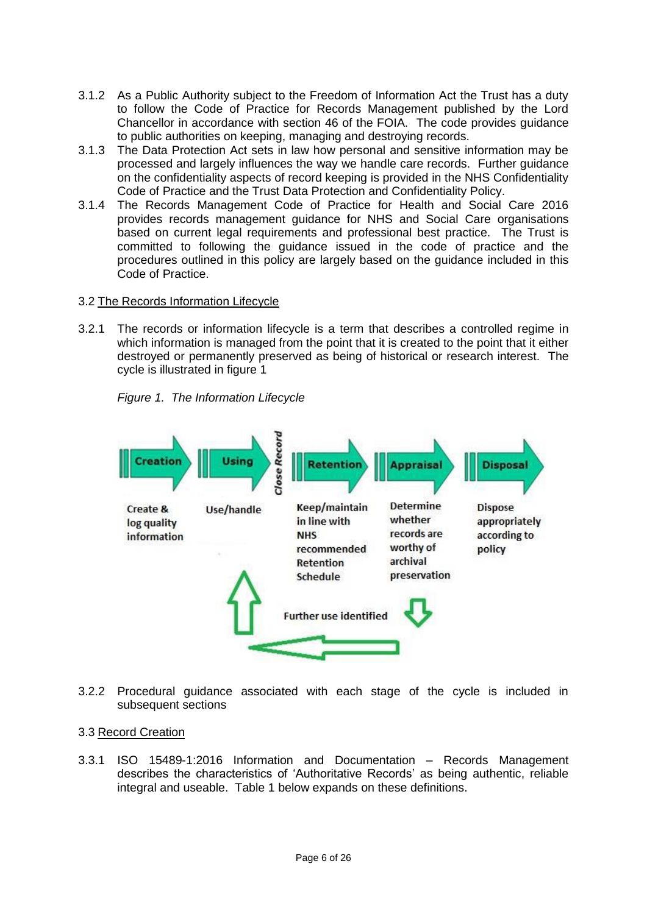- 3.1.2 As a Public Authority subject to the Freedom of Information Act the Trust has a duty to follow the Code of Practice for Records Management published by the Lord Chancellor in accordance with section 46 of the FOIA. The code provides guidance to public authorities on keeping, managing and destroying records.
- 3.1.3 The Data Protection Act sets in law how personal and sensitive information may be processed and largely influences the way we handle care records. Further guidance on the confidentiality aspects of record keeping is provided in the NHS Confidentiality Code of Practice and the Trust Data Protection and Confidentiality Policy.
- 3.1.4 The Records Management Code of Practice for Health and Social Care 2016 provides records management guidance for NHS and Social Care organisations based on current legal requirements and professional best practice. The Trust is committed to following the guidance issued in the code of practice and the procedures outlined in this policy are largely based on the guidance included in this Code of Practice.

## 3.2 The Records Information Lifecycle

3.2.1 The records or information lifecycle is a term that describes a controlled regime in which information is managed from the point that it is created to the point that it either destroyed or permanently preserved as being of historical or research interest. The cycle is illustrated in figure 1

*Figure 1. The Information Lifecycle*



3.2.2 Procedural guidance associated with each stage of the cycle is included in subsequent sections

#### 3.3 Record Creation

3.3.1 ISO 15489-1:2016 Information and Documentation – Records Management describes the characteristics of 'Authoritative Records' as being authentic, reliable integral and useable. Table 1 below expands on these definitions.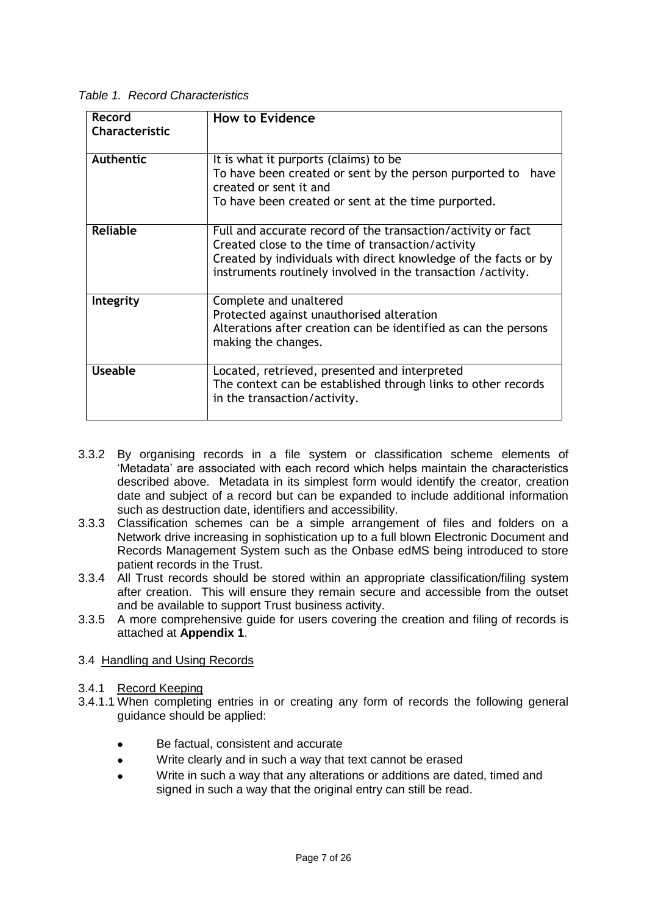*Table 1. Record Characteristics*

| Record<br>Characteristic | <b>How to Evidence</b>                                                                                                                                                                                                                               |
|--------------------------|------------------------------------------------------------------------------------------------------------------------------------------------------------------------------------------------------------------------------------------------------|
| Authentic                | It is what it purports (claims) to be<br>To have been created or sent by the person purported to have<br>created or sent it and<br>To have been created or sent at the time purported.                                                               |
| <b>Reliable</b>          | Full and accurate record of the transaction/activity or fact<br>Created close to the time of transaction/activity<br>Created by individuals with direct knowledge of the facts or by<br>instruments routinely involved in the transaction /activity. |
| Integrity                | Complete and unaltered<br>Protected against unauthorised alteration<br>Alterations after creation can be identified as can the persons<br>making the changes.                                                                                        |
| Useable                  | Located, retrieved, presented and interpreted<br>The context can be established through links to other records<br>in the transaction/activity.                                                                                                       |

- 3.3.2 By organising records in a file system or classification scheme elements of 'Metadata' are associated with each record which helps maintain the characteristics described above. Metadata in its simplest form would identify the creator, creation date and subject of a record but can be expanded to include additional information such as destruction date, identifiers and accessibility.
- 3.3.3 Classification schemes can be a simple arrangement of files and folders on a Network drive increasing in sophistication up to a full blown Electronic Document and Records Management System such as the Onbase edMS being introduced to store patient records in the Trust.
- 3.3.4 All Trust records should be stored within an appropriate classification/filing system after creation. This will ensure they remain secure and accessible from the outset and be available to support Trust business activity.
- 3.3.5 A more comprehensive guide for users covering the creation and filing of records is attached at **Appendix 1**.
- 3.4 Handling and Using Records
- 3.4.1 Record Keeping
- 3.4.1.1 When completing entries in or creating any form of records the following general guidance should be applied:
	- Be factual, consistent and accurate
	- Write clearly and in such a way that text cannot be erased
	- Write in such a way that any alterations or additions are dated, timed and signed in such a way that the original entry can still be read.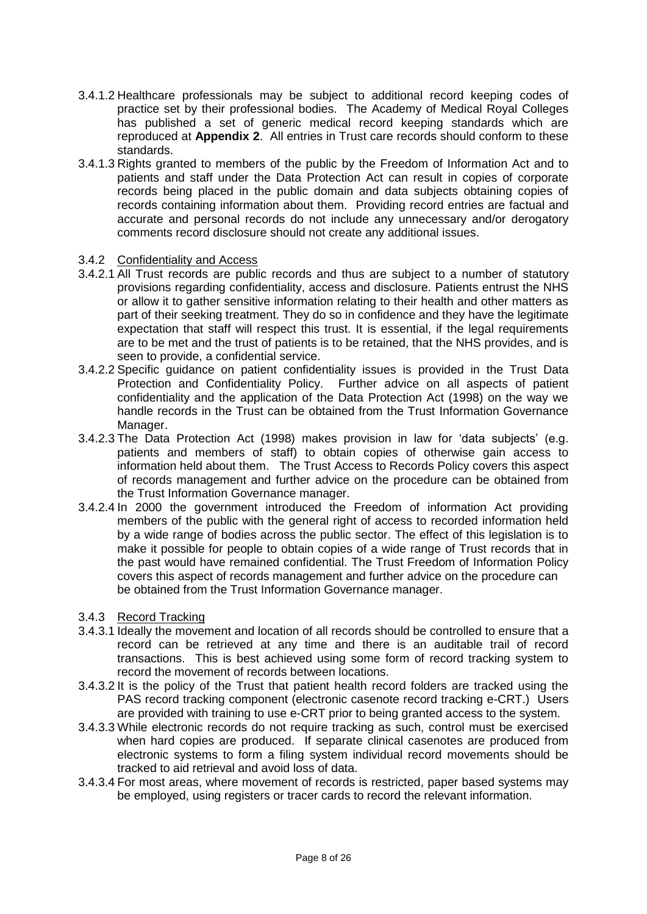- 3.4.1.2 Healthcare professionals may be subject to additional record keeping codes of practice set by their professional bodies. The Academy of Medical Royal Colleges has published a set of generic medical record keeping standards which are reproduced at **Appendix 2**. All entries in Trust care records should conform to these standards.
- 3.4.1.3 Rights granted to members of the public by the Freedom of Information Act and to patients and staff under the Data Protection Act can result in copies of corporate records being placed in the public domain and data subjects obtaining copies of records containing information about them. Providing record entries are factual and accurate and personal records do not include any unnecessary and/or derogatory comments record disclosure should not create any additional issues.

#### 3.4.2 Confidentiality and Access

- 3.4.2.1 All Trust records are public records and thus are subject to a number of statutory provisions regarding confidentiality, access and disclosure. Patients entrust the NHS or allow it to gather sensitive information relating to their health and other matters as part of their seeking treatment. They do so in confidence and they have the legitimate expectation that staff will respect this trust. It is essential, if the legal requirements are to be met and the trust of patients is to be retained, that the NHS provides, and is seen to provide, a confidential service.
- 3.4.2.2 Specific guidance on patient confidentiality issues is provided in the Trust Data Protection and Confidentiality Policy. Further advice on all aspects of patient confidentiality and the application of the Data Protection Act (1998) on the way we handle records in the Trust can be obtained from the Trust Information Governance Manager.
- 3.4.2.3 The Data Protection Act (1998) makes provision in law for 'data subjects' (e.g. patients and members of staff) to obtain copies of otherwise gain access to information held about them. The Trust Access to Records Policy covers this aspect of records management and further advice on the procedure can be obtained from the Trust Information Governance manager.
- 3.4.2.4 In 2000 the government introduced the Freedom of information Act providing members of the public with the general right of access to recorded information held by a wide range of bodies across the public sector. The effect of this legislation is to make it possible for people to obtain copies of a wide range of Trust records that in the past would have remained confidential. The Trust Freedom of Information Policy covers this aspect of records management and further advice on the procedure can be obtained from the Trust Information Governance manager.
- 3.4.3 Record Tracking
- 3.4.3.1 Ideally the movement and location of all records should be controlled to ensure that a record can be retrieved at any time and there is an auditable trail of record transactions. This is best achieved using some form of record tracking system to record the movement of records between locations.
- 3.4.3.2 It is the policy of the Trust that patient health record folders are tracked using the PAS record tracking component (electronic casenote record tracking e-CRT.) Users are provided with training to use e-CRT prior to being granted access to the system.
- 3.4.3.3 While electronic records do not require tracking as such, control must be exercised when hard copies are produced. If separate clinical casenotes are produced from electronic systems to form a filing system individual record movements should be tracked to aid retrieval and avoid loss of data.
- 3.4.3.4 For most areas, where movement of records is restricted, paper based systems may be employed, using registers or tracer cards to record the relevant information.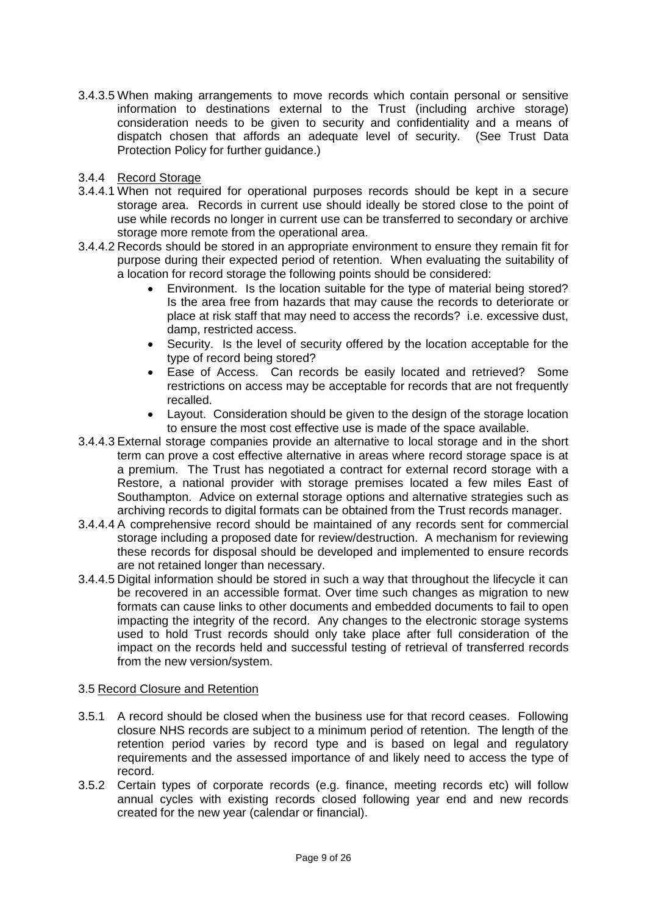- 3.4.3.5 When making arrangements to move records which contain personal or sensitive information to destinations external to the Trust (including archive storage) consideration needs to be given to security and confidentiality and a means of dispatch chosen that affords an adequate level of security. (See Trust Data Protection Policy for further guidance.)
- 3.4.4 Record Storage
- 3.4.4.1 When not required for operational purposes records should be kept in a secure storage area. Records in current use should ideally be stored close to the point of use while records no longer in current use can be transferred to secondary or archive storage more remote from the operational area.
- 3.4.4.2 Records should be stored in an appropriate environment to ensure they remain fit for purpose during their expected period of retention. When evaluating the suitability of a location for record storage the following points should be considered:
	- Environment. Is the location suitable for the type of material being stored? Is the area free from hazards that may cause the records to deteriorate or place at risk staff that may need to access the records? i.e. excessive dust, damp, restricted access.
	- Security. Is the level of security offered by the location acceptable for the type of record being stored?
	- Ease of Access. Can records be easily located and retrieved? Some restrictions on access may be acceptable for records that are not frequently recalled.
	- Layout. Consideration should be given to the design of the storage location to ensure the most cost effective use is made of the space available.
- 3.4.4.3 External storage companies provide an alternative to local storage and in the short term can prove a cost effective alternative in areas where record storage space is at a premium. The Trust has negotiated a contract for external record storage with a Restore, a national provider with storage premises located a few miles East of Southampton. Advice on external storage options and alternative strategies such as archiving records to digital formats can be obtained from the Trust records manager.
- 3.4.4.4 A comprehensive record should be maintained of any records sent for commercial storage including a proposed date for review/destruction. A mechanism for reviewing these records for disposal should be developed and implemented to ensure records are not retained longer than necessary.
- 3.4.4.5 Digital information should be stored in such a way that throughout the lifecycle it can be recovered in an accessible format. Over time such changes as migration to new formats can cause links to other documents and embedded documents to fail to open impacting the integrity of the record. Any changes to the electronic storage systems used to hold Trust records should only take place after full consideration of the impact on the records held and successful testing of retrieval of transferred records from the new version/system.

#### 3.5 Record Closure and Retention

- 3.5.1 A record should be closed when the business use for that record ceases. Following closure NHS records are subject to a minimum period of retention. The length of the retention period varies by record type and is based on legal and regulatory requirements and the assessed importance of and likely need to access the type of record.
- 3.5.2 Certain types of corporate records (e.g. finance, meeting records etc) will follow annual cycles with existing records closed following year end and new records created for the new year (calendar or financial).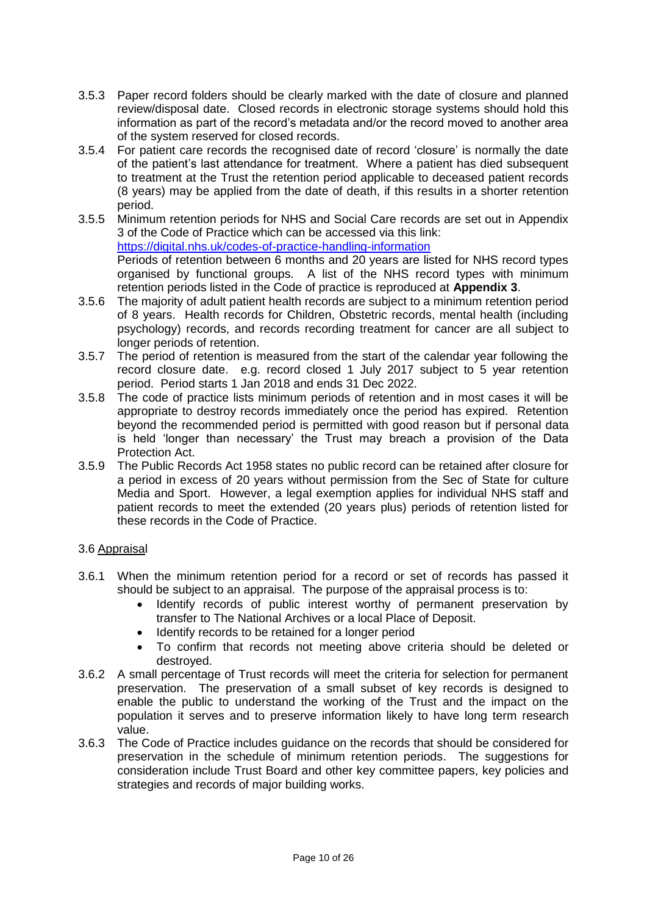- 3.5.3 Paper record folders should be clearly marked with the date of closure and planned review/disposal date. Closed records in electronic storage systems should hold this information as part of the record's metadata and/or the record moved to another area of the system reserved for closed records.
- 3.5.4 For patient care records the recognised date of record 'closure' is normally the date of the patient's last attendance for treatment. Where a patient has died subsequent to treatment at the Trust the retention period applicable to deceased patient records (8 years) may be applied from the date of death, if this results in a shorter retention period.
- 3.5.5 Minimum retention periods for NHS and Social Care records are set out in Appendix 3 of the Code of Practice which can be accessed via this link: <https://digital.nhs.uk/codes-of-practice-handling-information> Periods of retention between 6 months and 20 years are listed for NHS record types organised by functional groups. A list of the NHS record types with minimum retention periods listed in the Code of practice is reproduced at **Appendix 3**.
- 3.5.6 The majority of adult patient health records are subject to a minimum retention period of 8 years. Health records for Children, Obstetric records, mental health (including psychology) records, and records recording treatment for cancer are all subject to longer periods of retention.
- 3.5.7 The period of retention is measured from the start of the calendar year following the record closure date. e.g. record closed 1 July 2017 subject to 5 year retention period. Period starts 1 Jan 2018 and ends 31 Dec 2022.
- 3.5.8 The code of practice lists minimum periods of retention and in most cases it will be appropriate to destroy records immediately once the period has expired. Retention beyond the recommended period is permitted with good reason but if personal data is held 'longer than necessary' the Trust may breach a provision of the Data Protection Act.
- 3.5.9 The Public Records Act 1958 states no public record can be retained after closure for a period in excess of 20 years without permission from the Sec of State for culture Media and Sport. However, a legal exemption applies for individual NHS staff and patient records to meet the extended (20 years plus) periods of retention listed for these records in the Code of Practice.

# 3.6 Appraisal

- 3.6.1 When the minimum retention period for a record or set of records has passed it should be subject to an appraisal. The purpose of the appraisal process is to:
	- Identify records of public interest worthy of permanent preservation by transfer to The National Archives or a local Place of Deposit.
	- Identify records to be retained for a longer period
	- To confirm that records not meeting above criteria should be deleted or destroyed.
- 3.6.2 A small percentage of Trust records will meet the criteria for selection for permanent preservation. The preservation of a small subset of key records is designed to enable the public to understand the working of the Trust and the impact on the population it serves and to preserve information likely to have long term research value.
- 3.6.3 The Code of Practice includes guidance on the records that should be considered for preservation in the schedule of minimum retention periods. The suggestions for consideration include Trust Board and other key committee papers, key policies and strategies and records of major building works.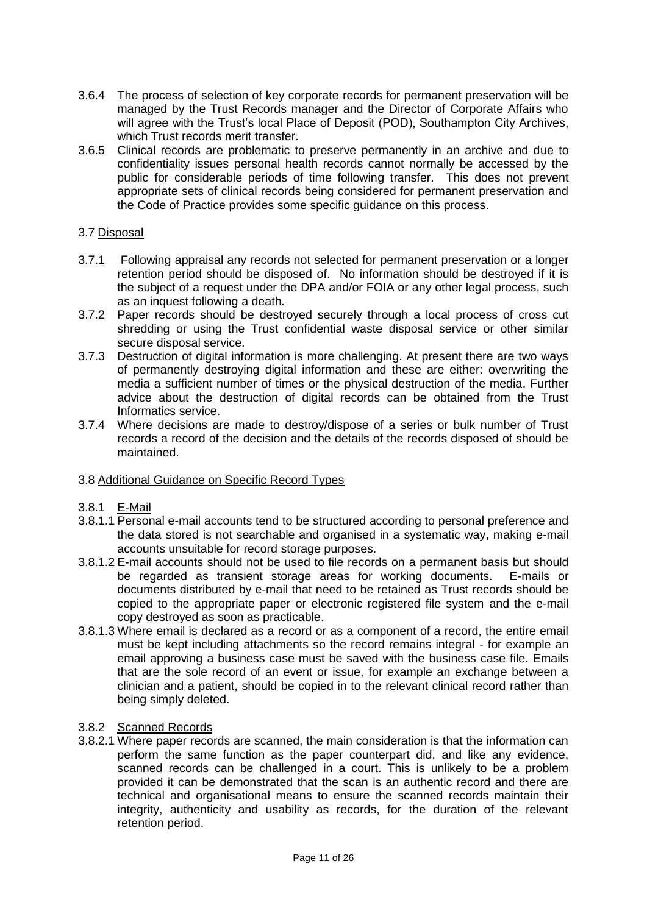- 3.6.4 The process of selection of key corporate records for permanent preservation will be managed by the Trust Records manager and the Director of Corporate Affairs who will agree with the Trust's local Place of Deposit (POD), Southampton City Archives, which Trust records merit transfer.
- 3.6.5 Clinical records are problematic to preserve permanently in an archive and due to confidentiality issues personal health records cannot normally be accessed by the public for considerable periods of time following transfer. This does not prevent appropriate sets of clinical records being considered for permanent preservation and the Code of Practice provides some specific guidance on this process.

## 3.7 Disposal

- 3.7.1 Following appraisal any records not selected for permanent preservation or a longer retention period should be disposed of. No information should be destroyed if it is the subject of a request under the DPA and/or FOIA or any other legal process, such as an inquest following a death.
- 3.7.2 Paper records should be destroyed securely through a local process of cross cut shredding or using the Trust confidential waste disposal service or other similar secure disposal service.
- 3.7.3 Destruction of digital information is more challenging. At present there are two ways of permanently destroying digital information and these are either: overwriting the media a sufficient number of times or the physical destruction of the media. Further advice about the destruction of digital records can be obtained from the Trust Informatics service.
- 3.7.4 Where decisions are made to destroy/dispose of a series or bulk number of Trust records a record of the decision and the details of the records disposed of should be maintained.

#### 3.8 Additional Guidance on Specific Record Types

#### 3.8.1 E-Mail

- 3.8.1.1 Personal e-mail accounts tend to be structured according to personal preference and the data stored is not searchable and organised in a systematic way, making e-mail accounts unsuitable for record storage purposes.
- 3.8.1.2 E-mail accounts should not be used to file records on a permanent basis but should be regarded as transient storage areas for working documents. E-mails or documents distributed by e-mail that need to be retained as Trust records should be copied to the appropriate paper or electronic registered file system and the e-mail copy destroyed as soon as practicable.
- 3.8.1.3 Where email is declared as a record or as a component of a record, the entire email must be kept including attachments so the record remains integral - for example an email approving a business case must be saved with the business case file. Emails that are the sole record of an event or issue, for example an exchange between a clinician and a patient, should be copied in to the relevant clinical record rather than being simply deleted.

#### 3.8.2 Scanned Records

3.8.2.1 Where paper records are scanned, the main consideration is that the information can perform the same function as the paper counterpart did, and like any evidence, scanned records can be challenged in a court. This is unlikely to be a problem provided it can be demonstrated that the scan is an authentic record and there are technical and organisational means to ensure the scanned records maintain their integrity, authenticity and usability as records, for the duration of the relevant retention period.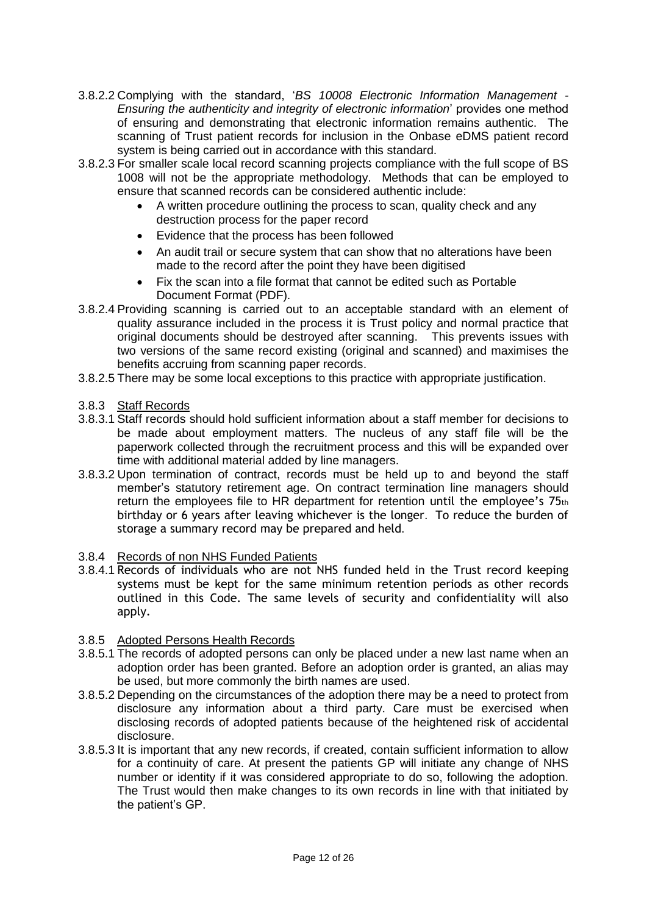- 3.8.2.2 Complying with the standard, '*BS 10008 Electronic Information Management - Ensuring the authenticity and integrity of electronic information*' provides one method of ensuring and demonstrating that electronic information remains authentic. The scanning of Trust patient records for inclusion in the Onbase eDMS patient record system is being carried out in accordance with this standard.
- 3.8.2.3 For smaller scale local record scanning projects compliance with the full scope of BS 1008 will not be the appropriate methodology. Methods that can be employed to ensure that scanned records can be considered authentic include:
	- A written procedure outlining the process to scan, quality check and any destruction process for the paper record
	- Evidence that the process has been followed
	- An audit trail or secure system that can show that no alterations have been made to the record after the point they have been digitised
	- Fix the scan into a file format that cannot be edited such as Portable Document Format (PDF).
- 3.8.2.4 Providing scanning is carried out to an acceptable standard with an element of quality assurance included in the process it is Trust policy and normal practice that original documents should be destroyed after scanning. This prevents issues with two versions of the same record existing (original and scanned) and maximises the benefits accruing from scanning paper records.
- 3.8.2.5 There may be some local exceptions to this practice with appropriate justification.
- 3.8.3 Staff Records
- 3.8.3.1 Staff records should hold sufficient information about a staff member for decisions to be made about employment matters. The nucleus of any staff file will be the paperwork collected through the recruitment process and this will be expanded over time with additional material added by line managers.
- 3.8.3.2 Upon termination of contract, records must be held up to and beyond the staff member's statutory retirement age. On contract termination line managers should return the employees file to HR department for retention until the employee's 75th birthday or 6 years after leaving whichever is the longer. To reduce the burden of storage a summary record may be prepared and held.

#### 3.8.4 Records of non NHS Funded Patients

3.8.4.1 Records of individuals who are not NHS funded held in the Trust record keeping systems must be kept for the same minimum retention periods as other records outlined in this Code. The same levels of security and confidentiality will also apply.

# 3.8.5 Adopted Persons Health Records

- 3.8.5.1 The records of adopted persons can only be placed under a new last name when an adoption order has been granted. Before an adoption order is granted, an alias may be used, but more commonly the birth names are used.
- 3.8.5.2 Depending on the circumstances of the adoption there may be a need to protect from disclosure any information about a third party. Care must be exercised when disclosing records of adopted patients because of the heightened risk of accidental disclosure.
- 3.8.5.3 It is important that any new records, if created, contain sufficient information to allow for a continuity of care. At present the patients GP will initiate any change of NHS number or identity if it was considered appropriate to do so, following the adoption. The Trust would then make changes to its own records in line with that initiated by the patient's GP.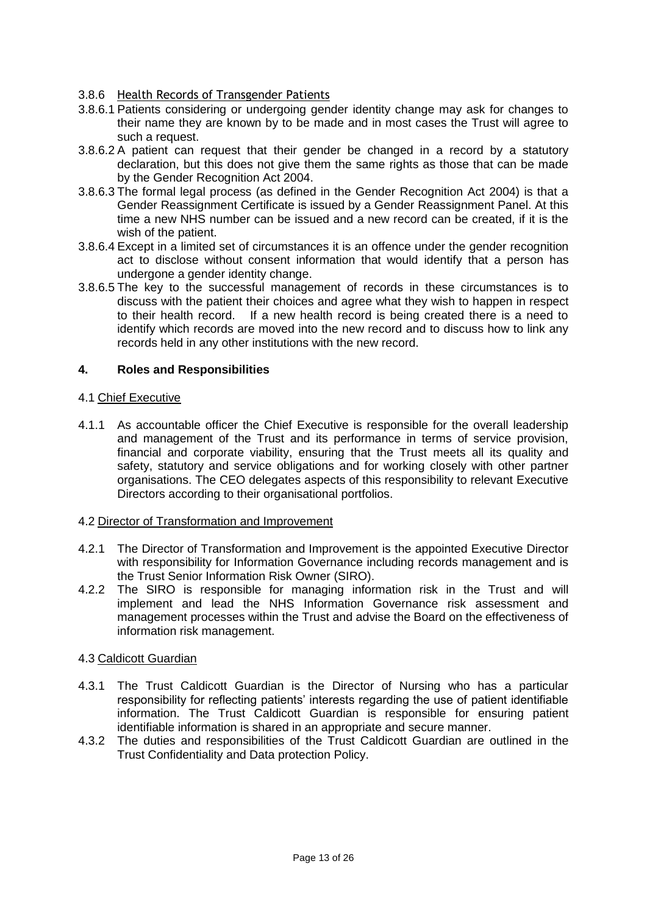## 3.8.6 Health Records of Transgender Patients

- 3.8.6.1 Patients considering or undergoing gender identity change may ask for changes to their name they are known by to be made and in most cases the Trust will agree to such a request.
- 3.8.6.2 A patient can request that their gender be changed in a record by a statutory declaration, but this does not give them the same rights as those that can be made by the Gender Recognition Act 2004.
- 3.8.6.3 The formal legal process (as defined in the Gender Recognition Act 2004) is that a Gender Reassignment Certificate is issued by a Gender Reassignment Panel. At this time a new NHS number can be issued and a new record can be created, if it is the wish of the patient.
- 3.8.6.4 Except in a limited set of circumstances it is an offence under the gender recognition act to disclose without consent information that would identify that a person has undergone a gender identity change.
- 3.8.6.5 The key to the successful management of records in these circumstances is to discuss with the patient their choices and agree what they wish to happen in respect to their health record. If a new health record is being created there is a need to identify which records are moved into the new record and to discuss how to link any records held in any other institutions with the new record.

## **4. Roles and Responsibilities**

#### 4.1 Chief Executive

4.1.1 As accountable officer the Chief Executive is responsible for the overall leadership and management of the Trust and its performance in terms of service provision, financial and corporate viability, ensuring that the Trust meets all its quality and safety, statutory and service obligations and for working closely with other partner organisations. The CEO delegates aspects of this responsibility to relevant Executive Directors according to their organisational portfolios.

#### 4.2 Director of Transformation and Improvement

- 4.2.1 The Director of Transformation and Improvement is the appointed Executive Director with responsibility for Information Governance including records management and is the Trust Senior Information Risk Owner (SIRO).
- 4.2.2 The SIRO is responsible for managing information risk in the Trust and will implement and lead the NHS Information Governance risk assessment and management processes within the Trust and advise the Board on the effectiveness of information risk management.

#### 4.3 Caldicott Guardian

- 4.3.1 The Trust Caldicott Guardian is the Director of Nursing who has a particular responsibility for reflecting patients' interests regarding the use of patient identifiable information. The Trust Caldicott Guardian is responsible for ensuring patient identifiable information is shared in an appropriate and secure manner.
- 4.3.2 The duties and responsibilities of the Trust Caldicott Guardian are outlined in the Trust Confidentiality and Data protection Policy.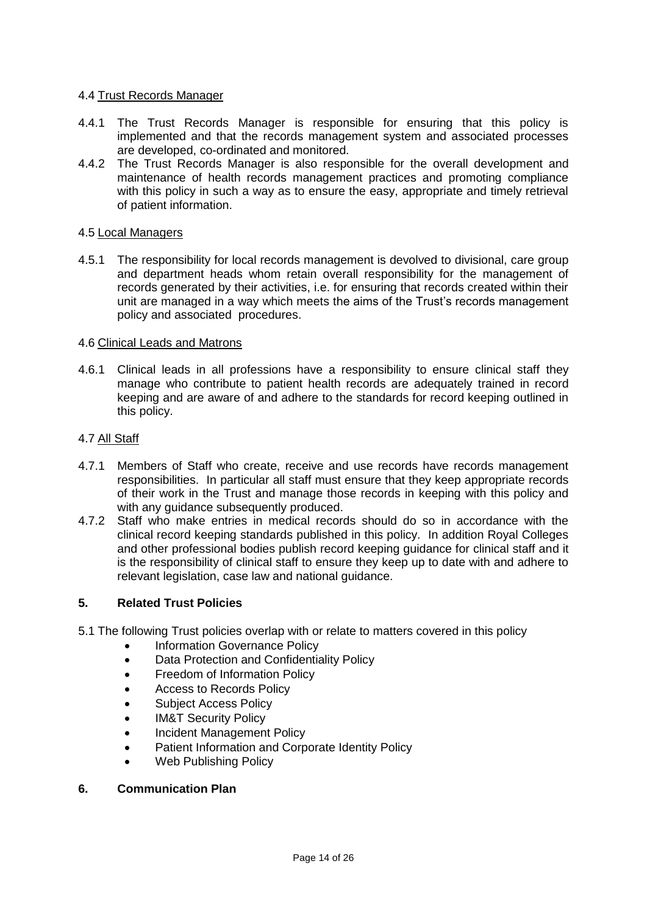#### 4.4 Trust Records Manager

- 4.4.1 The Trust Records Manager is responsible for ensuring that this policy is implemented and that the records management system and associated processes are developed, co-ordinated and monitored.
- 4.4.2 The Trust Records Manager is also responsible for the overall development and maintenance of health records management practices and promoting compliance with this policy in such a way as to ensure the easy, appropriate and timely retrieval of patient information.

#### 4.5 Local Managers

4.5.1 The responsibility for local records management is devolved to divisional, care group and department heads whom retain overall responsibility for the management of records generated by their activities, i.e. for ensuring that records created within their unit are managed in a way which meets the aims of the Trust's records management policy and associated procedures.

#### 4.6 Clinical Leads and Matrons

4.6.1 Clinical leads in all professions have a responsibility to ensure clinical staff they manage who contribute to patient health records are adequately trained in record keeping and are aware of and adhere to the standards for record keeping outlined in this policy.

#### 4.7 All Staff

- 4.7.1 Members of Staff who create, receive and use records have records management responsibilities. In particular all staff must ensure that they keep appropriate records of their work in the Trust and manage those records in keeping with this policy and with any quidance subsequently produced.
- 4.7.2 Staff who make entries in medical records should do so in accordance with the clinical record keeping standards published in this policy. In addition Royal Colleges and other professional bodies publish record keeping guidance for clinical staff and it is the responsibility of clinical staff to ensure they keep up to date with and adhere to relevant legislation, case law and national guidance.

#### **5. Related Trust Policies**

- 5.1 The following Trust policies overlap with or relate to matters covered in this policy
	- Information Governance Policy
	- Data Protection and Confidentiality Policy
	- Freedom of Information Policy
	- Access to Records Policy
	- Subject Access Policy
	- IM&T Security Policy
	- Incident Management Policy
	- Patient Information and Corporate Identity Policy
	- Web Publishing Policy

#### **6. Communication Plan**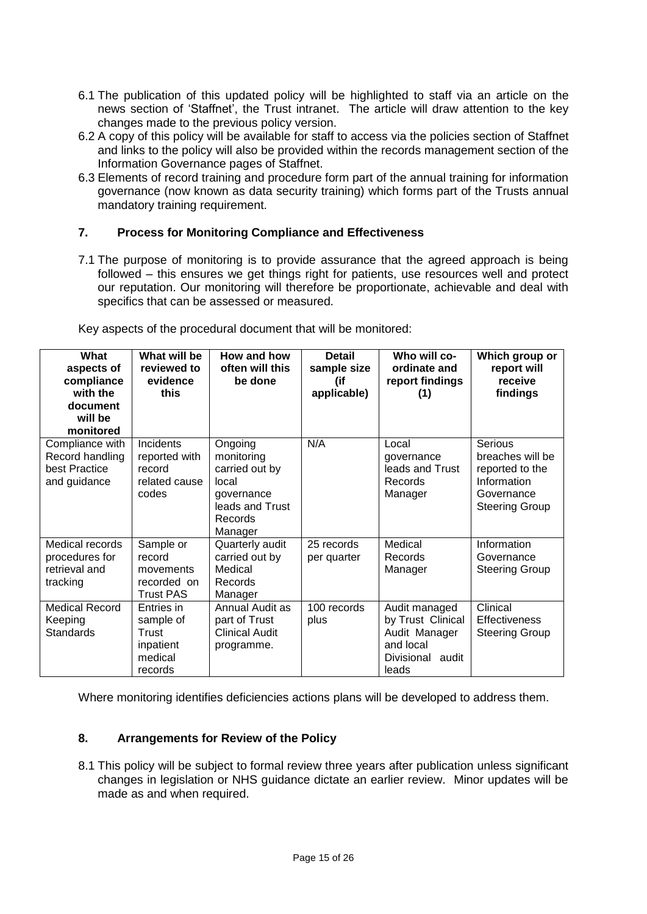- 6.1 The publication of this updated policy will be highlighted to staff via an article on the news section of 'Staffnet', the Trust intranet. The article will draw attention to the key changes made to the previous policy version.
- 6.2 A copy of this policy will be available for staff to access via the policies section of Staffnet and links to the policy will also be provided within the records management section of the Information Governance pages of Staffnet.
- 6.3 Elements of record training and procedure form part of the annual training for information governance (now known as data security training) which forms part of the Trusts annual mandatory training requirement.

# **7. Process for Monitoring Compliance and Effectiveness**

7.1 The purpose of monitoring is to provide assurance that the agreed approach is being followed – this ensures we get things right for patients, use resources well and protect our reputation. Our monitoring will therefore be proportionate, achievable and deal with specifics that can be assessed or measured.

| What<br>aspects of<br>compliance<br>with the<br>document<br>will be<br>monitored | What will be<br>reviewed to<br>evidence<br>this                     | How and how<br>often will this<br>be done                                                               | <b>Detail</b><br>sample size<br>(if<br>applicable) | Who will co-<br>ordinate and<br>report findings<br>(1)                                           | Which group or<br>report will<br>receive<br>findings                                                 |
|----------------------------------------------------------------------------------|---------------------------------------------------------------------|---------------------------------------------------------------------------------------------------------|----------------------------------------------------|--------------------------------------------------------------------------------------------------|------------------------------------------------------------------------------------------------------|
| Compliance with<br>Record handling<br>best Practice<br>and guidance              | Incidents<br>reported with<br>record<br>related cause<br>codes      | Ongoing<br>monitoring<br>carried out by<br>local<br>governance<br>leads and Trust<br>Records<br>Manager | N/A                                                | Local<br>governance<br>leads and Trust<br>Records<br>Manager                                     | Serious<br>breaches will be<br>reported to the<br>Information<br>Governance<br><b>Steering Group</b> |
| Medical records<br>procedures for<br>retrieval and<br>tracking                   | Sample or<br>record<br>movements<br>recorded on<br><b>Trust PAS</b> | Quarterly audit<br>carried out by<br>Medical<br>Records<br>Manager                                      | 25 records<br>per quarter                          | Medical<br>Records<br>Manager                                                                    | Information<br>Governance<br><b>Steering Group</b>                                                   |
| <b>Medical Record</b><br>Keeping<br>Standards                                    | Entries in<br>sample of<br>Trust<br>inpatient<br>medical<br>records | Annual Audit as<br>part of Trust<br><b>Clinical Audit</b><br>programme.                                 | 100 records<br>plus                                | Audit managed<br>by Trust Clinical<br>Audit Manager<br>and local<br>Divisional<br>audit<br>leads | Clinical<br><b>Effectiveness</b><br><b>Steering Group</b>                                            |

Key aspects of the procedural document that will be monitored:

Where monitoring identifies deficiencies actions plans will be developed to address them.

#### **8. Arrangements for Review of the Policy**

8.1 This policy will be subject to formal review three years after publication unless significant changes in legislation or NHS guidance dictate an earlier review. Minor updates will be made as and when required.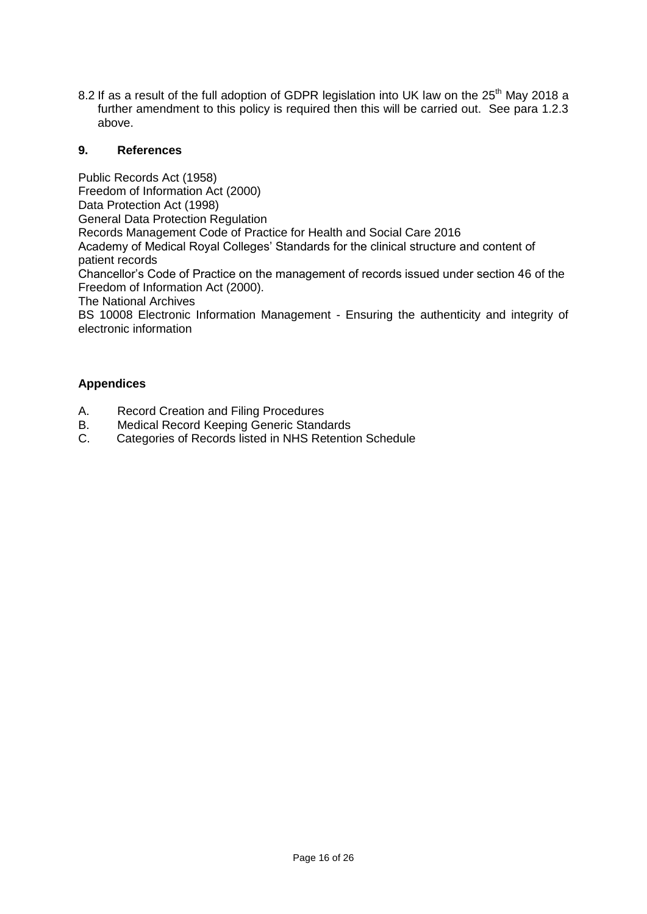8.2 If as a result of the full adoption of GDPR legislation into UK law on the 25<sup>th</sup> May 2018 a further amendment to this policy is required then this will be carried out. See para 1.2.3 above.

## **9. References**

Public Records Act (1958) Freedom of Information Act (2000) Data Protection Act (1998) General Data Protection Regulation Records Management Code of Practice for Health and Social Care 2016 Academy of Medical Royal Colleges' Standards for the clinical structure and content of patient records Chancellor's Code of Practice on the management of records issued under section 46 of the Freedom of Information Act (2000). The National Archives BS 10008 Electronic Information Management - Ensuring the authenticity and integrity of electronic information

# **Appendices**

- A. Record Creation and Filing Procedures
- B. Medical Record Keeping Generic Standards
- C. Categories of Records listed in NHS Retention Schedule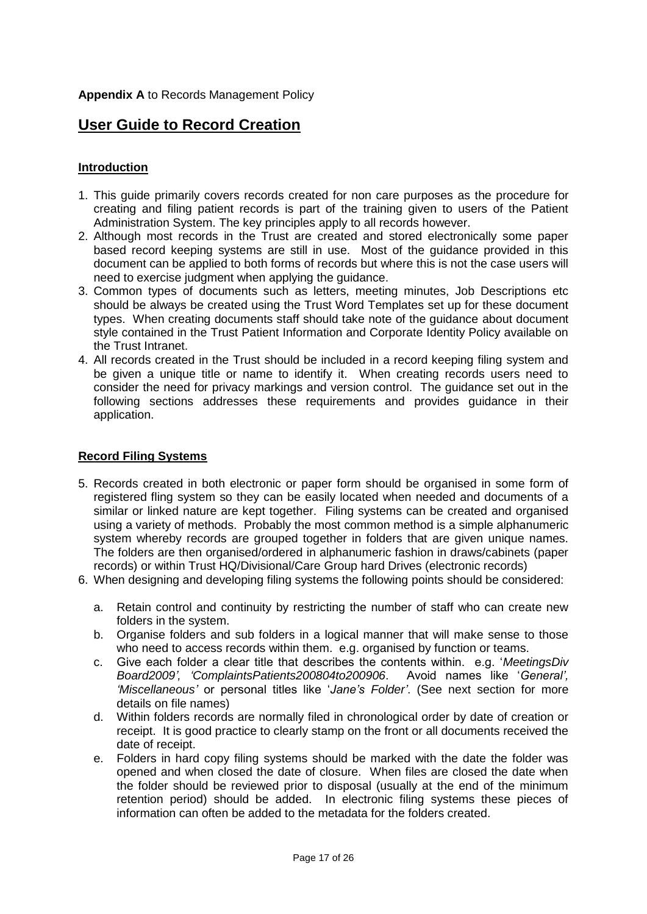# **User Guide to Record Creation**

## **Introduction**

- 1. This guide primarily covers records created for non care purposes as the procedure for creating and filing patient records is part of the training given to users of the Patient Administration System. The key principles apply to all records however.
- 2. Although most records in the Trust are created and stored electronically some paper based record keeping systems are still in use. Most of the guidance provided in this document can be applied to both forms of records but where this is not the case users will need to exercise judgment when applying the guidance.
- 3. Common types of documents such as letters, meeting minutes, Job Descriptions etc should be always be created using the Trust Word Templates set up for these document types. When creating documents staff should take note of the guidance about document style contained in the Trust Patient Information and Corporate Identity Policy available on the Trust Intranet.
- 4. All records created in the Trust should be included in a record keeping filing system and be given a unique title or name to identify it. When creating records users need to consider the need for privacy markings and version control. The guidance set out in the following sections addresses these requirements and provides guidance in their application.

## **Record Filing Systems**

- 5. Records created in both electronic or paper form should be organised in some form of registered fling system so they can be easily located when needed and documents of a similar or linked nature are kept together. Filing systems can be created and organised using a variety of methods. Probably the most common method is a simple alphanumeric system whereby records are grouped together in folders that are given unique names. The folders are then organised/ordered in alphanumeric fashion in draws/cabinets (paper records) or within Trust HQ/Divisional/Care Group hard Drives (electronic records)
- 6. When designing and developing filing systems the following points should be considered:
	- a. Retain control and continuity by restricting the number of staff who can create new folders in the system.
	- b. Organise folders and sub folders in a logical manner that will make sense to those who need to access records within them. e.g. organised by function or teams.
	- c. Give each folder a clear title that describes the contents within. e.g. '*MeetingsDiv Board2009', 'ComplaintsPatients200804to200906*. Avoid names like '*General', 'Miscellaneous'* or personal titles like '*Jane's Folder'*. (See next section for more details on file names)
	- d. Within folders records are normally filed in chronological order by date of creation or receipt. It is good practice to clearly stamp on the front or all documents received the date of receipt.
	- e. Folders in hard copy filing systems should be marked with the date the folder was opened and when closed the date of closure. When files are closed the date when the folder should be reviewed prior to disposal (usually at the end of the minimum retention period) should be added. In electronic filing systems these pieces of information can often be added to the metadata for the folders created.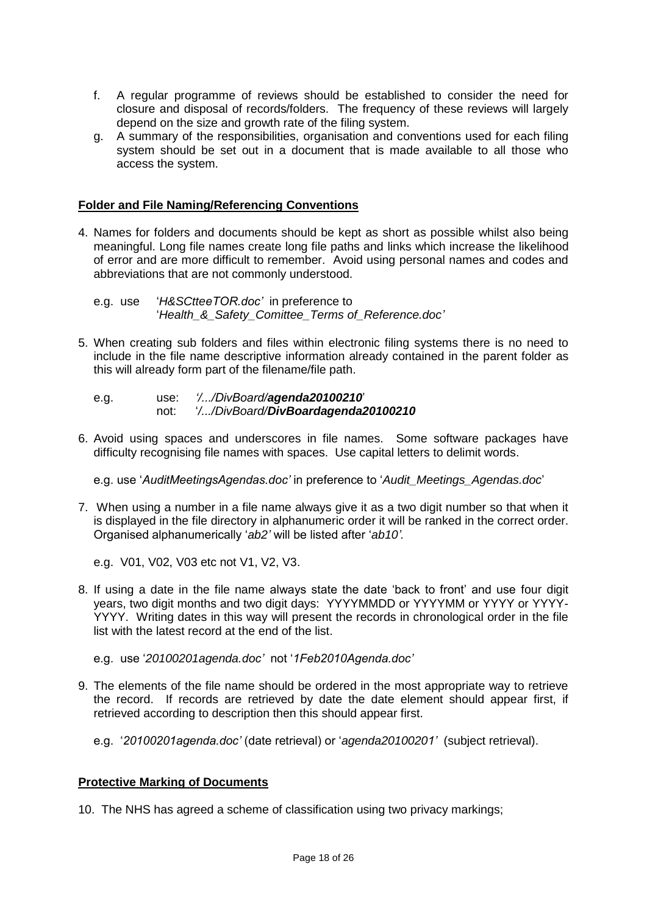- f. A regular programme of reviews should be established to consider the need for closure and disposal of records/folders. The frequency of these reviews will largely depend on the size and growth rate of the filing system.
- g. A summary of the responsibilities, organisation and conventions used for each filing system should be set out in a document that is made available to all those who access the system.

#### **Folder and File Naming/Referencing Conventions**

4. Names for folders and documents should be kept as short as possible whilst also being meaningful. Long file names create long file paths and links which increase the likelihood of error and are more difficult to remember. Avoid using personal names and codes and abbreviations that are not commonly understood.

e.g. use '*H&SCtteeTOR.doc'* in preference to '*Health\_&\_Safety\_Comittee\_Terms of\_Reference.doc'*

- 5. When creating sub folders and files within electronic filing systems there is no need to include in the file name descriptive information already contained in the parent folder as this will already form part of the filename/file path.
	- e.g. use: *'/.../DivBoard/agenda20100210*' not: '*/.../DivBoard/DivBoardagenda20100210*
- 6. Avoid using spaces and underscores in file names. Some software packages have difficulty recognising file names with spaces. Use capital letters to delimit words.

e.g. use '*AuditMeetingsAgendas.doc'* in preference to '*Audit\_Meetings\_Agendas.doc*'

- 7. When using a number in a file name always give it as a two digit number so that when it is displayed in the file directory in alphanumeric order it will be ranked in the correct order. Organised alphanumerically '*ab2'* will be listed after '*ab10'.*
	- e.g. V01, V02, V03 etc not V1, V2, V3.
- 8. If using a date in the file name always state the date 'back to front' and use four digit years, two digit months and two digit days: YYYYMMDD or YYYYMM or YYYY or YYYY-YYYY. Writing dates in this way will present the records in chronological order in the file list with the latest record at the end of the list.
	- e.g. use '*20100201agenda.doc'* not '*1Feb2010Agenda.doc'*
- 9. The elements of the file name should be ordered in the most appropriate way to retrieve the record. If records are retrieved by date the date element should appear first, if retrieved according to description then this should appear first.
	- e.g. '*20100201agenda.doc'* (date retrieval) or '*agenda20100201'* (subject retrieval).

# **Protective Marking of Documents**

10. The NHS has agreed a scheme of classification using two privacy markings;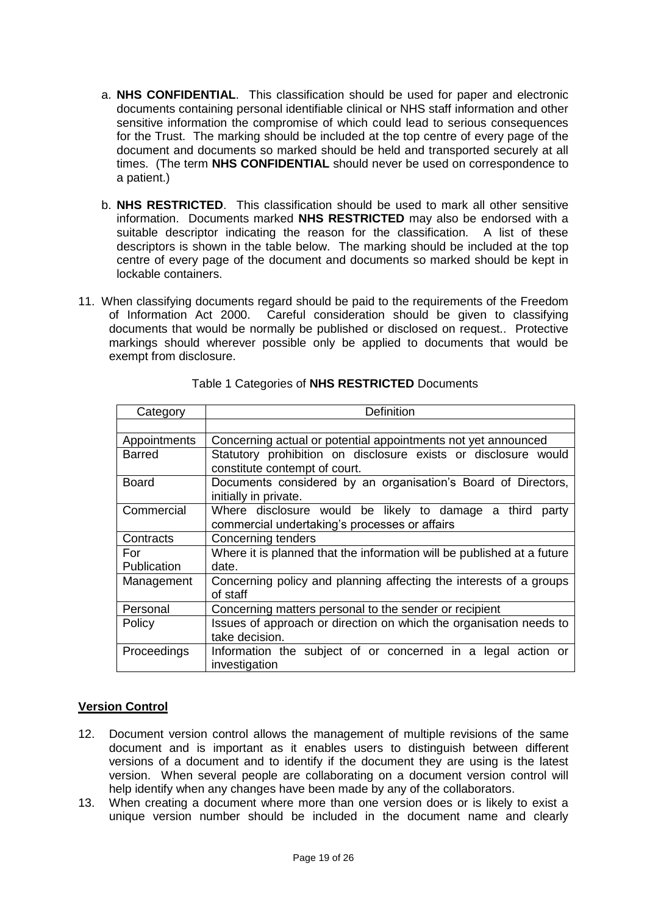- a. **NHS CONFIDENTIAL**. This classification should be used for paper and electronic documents containing personal identifiable clinical or NHS staff information and other sensitive information the compromise of which could lead to serious consequences for the Trust. The marking should be included at the top centre of every page of the document and documents so marked should be held and transported securely at all times. (The term **NHS CONFIDENTIAL** should never be used on correspondence to a patient.)
- b. **NHS RESTRICTED**. This classification should be used to mark all other sensitive information. Documents marked **NHS RESTRICTED** may also be endorsed with a suitable descriptor indicating the reason for the classification. A list of these descriptors is shown in the table below. The marking should be included at the top centre of every page of the document and documents so marked should be kept in lockable containers.
- 11. When classifying documents regard should be paid to the requirements of the Freedom of Information Act 2000. Careful consideration should be given to classifying documents that would be normally be published or disclosed on request.. Protective markings should wherever possible only be applied to documents that would be exempt from disclosure.

| Category           | <b>Definition</b>                                                                                            |
|--------------------|--------------------------------------------------------------------------------------------------------------|
|                    |                                                                                                              |
| Appointments       | Concerning actual or potential appointments not yet announced                                                |
| <b>Barred</b>      | Statutory prohibition on disclosure exists or disclosure would<br>constitute contempt of court.              |
| <b>Board</b>       | Documents considered by an organisation's Board of Directors,<br>initially in private.                       |
| Commercial         | Where disclosure would be likely to damage a third<br>party<br>commercial undertaking's processes or affairs |
| Contracts          | Concerning tenders                                                                                           |
| For<br>Publication | Where it is planned that the information will be published at a future<br>date.                              |
| Management         | Concerning policy and planning affecting the interests of a groups<br>of staff                               |
| Personal           | Concerning matters personal to the sender or recipient                                                       |
| Policy             | Issues of approach or direction on which the organisation needs to<br>take decision.                         |
| Proceedings        | Information the subject of or concerned in a legal action or<br>investigation                                |

Table 1 Categories of **NHS RESTRICTED** Documents

# **Version Control**

- 12. Document version control allows the management of multiple revisions of the same document and is important as it enables users to distinguish between different versions of a document and to identify if the document they are using is the latest version. When several people are collaborating on a document version control will help identify when any changes have been made by any of the collaborators.
- 13. When creating a document where more than one version does or is likely to exist a unique version number should be included in the document name and clearly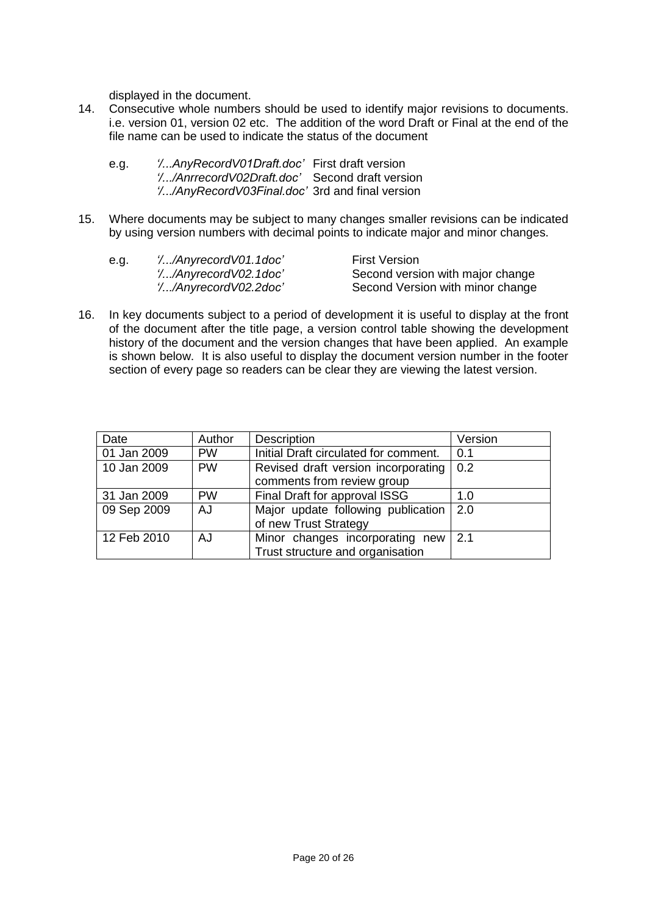displayed in the document.

14. Consecutive whole numbers should be used to identify major revisions to documents. i.e. version 01, version 02 etc. The addition of the word Draft or Final at the end of the file name can be used to indicate the status of the document

| e.g. | 'AnyRecordV01Draft.doc' First draft version    |  |
|------|------------------------------------------------|--|
|      | '/AnrrecordV02Draft.doc' Second draft version  |  |
|      | '/AnyRecordV03Final.doc' 3rd and final version |  |

15. Where documents may be subject to many changes smaller revisions can be indicated by using version numbers with decimal points to indicate major and minor changes.

| e.g. | '//AnyrecordV01.1doc'        | <b>First Version</b>             |
|------|------------------------------|----------------------------------|
|      | '//AnyrecordV02.1doc'        | Second version with major change |
|      | <i>'//AnyrecordV02.2doc'</i> | Second Version with minor change |

16. In key documents subject to a period of development it is useful to display at the front of the document after the title page, a version control table showing the development history of the document and the version changes that have been applied. An example is shown below. It is also useful to display the document version number in the footer section of every page so readers can be clear they are viewing the latest version.

| Date        | Author    | <b>Description</b>                    | Version |
|-------------|-----------|---------------------------------------|---------|
| 01 Jan 2009 | <b>PW</b> | Initial Draft circulated for comment. | 0.1     |
| 10 Jan 2009 | <b>PW</b> | Revised draft version incorporating   | 0.2     |
|             |           | comments from review group            |         |
| 31 Jan 2009 | <b>PW</b> | Final Draft for approval ISSG         | 1.0     |
| 09 Sep 2009 | AJ        | Major update following publication    | 2.0     |
|             |           | of new Trust Strategy                 |         |
| 12 Feb 2010 | AJ        | Minor changes incorporating new       | 2.1     |
|             |           | Trust structure and organisation      |         |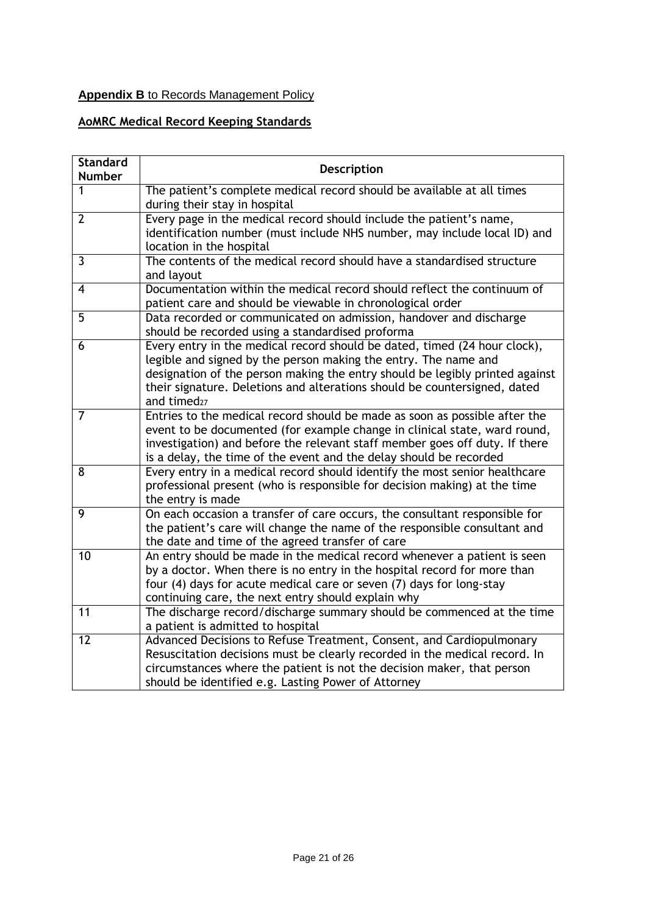# **Appendix B** to Records Management Policy

# **AoMRC Medical Record Keeping Standards**

| <b>Standard</b><br><b>Number</b> | <b>Description</b>                                                                                                                                                                                                                                                                                                                   |
|----------------------------------|--------------------------------------------------------------------------------------------------------------------------------------------------------------------------------------------------------------------------------------------------------------------------------------------------------------------------------------|
| 1                                | The patient's complete medical record should be available at all times<br>during their stay in hospital                                                                                                                                                                                                                              |
| $\overline{2}$                   | Every page in the medical record should include the patient's name,<br>identification number (must include NHS number, may include local ID) and<br>location in the hospital                                                                                                                                                         |
| $\overline{3}$                   | The contents of the medical record should have a standardised structure<br>and layout                                                                                                                                                                                                                                                |
| $\overline{\mathbf{4}}$          | Documentation within the medical record should reflect the continuum of<br>patient care and should be viewable in chronological order                                                                                                                                                                                                |
| $\overline{5}$                   | Data recorded or communicated on admission, handover and discharge<br>should be recorded using a standardised proforma                                                                                                                                                                                                               |
| $\overline{6}$                   | Every entry in the medical record should be dated, timed (24 hour clock),<br>legible and signed by the person making the entry. The name and<br>designation of the person making the entry should be legibly printed against<br>their signature. Deletions and alterations should be countersigned, dated<br>and timed <sub>27</sub> |
| $\overline{7}$                   | Entries to the medical record should be made as soon as possible after the<br>event to be documented (for example change in clinical state, ward round,<br>investigation) and before the relevant staff member goes off duty. If there<br>is a delay, the time of the event and the delay should be recorded                         |
| 8                                | Every entry in a medical record should identify the most senior healthcare<br>professional present (who is responsible for decision making) at the time<br>the entry is made                                                                                                                                                         |
| 9                                | On each occasion a transfer of care occurs, the consultant responsible for<br>the patient's care will change the name of the responsible consultant and<br>the date and time of the agreed transfer of care                                                                                                                          |
| 10                               | An entry should be made in the medical record whenever a patient is seen<br>by a doctor. When there is no entry in the hospital record for more than<br>four (4) days for acute medical care or seven (7) days for long-stay<br>continuing care, the next entry should explain why                                                   |
| 11                               | The discharge record/discharge summary should be commenced at the time<br>a patient is admitted to hospital                                                                                                                                                                                                                          |
| $\overline{12}$                  | Advanced Decisions to Refuse Treatment, Consent, and Cardiopulmonary<br>Resuscitation decisions must be clearly recorded in the medical record. In<br>circumstances where the patient is not the decision maker, that person<br>should be identified e.g. Lasting Power of Attorney                                                  |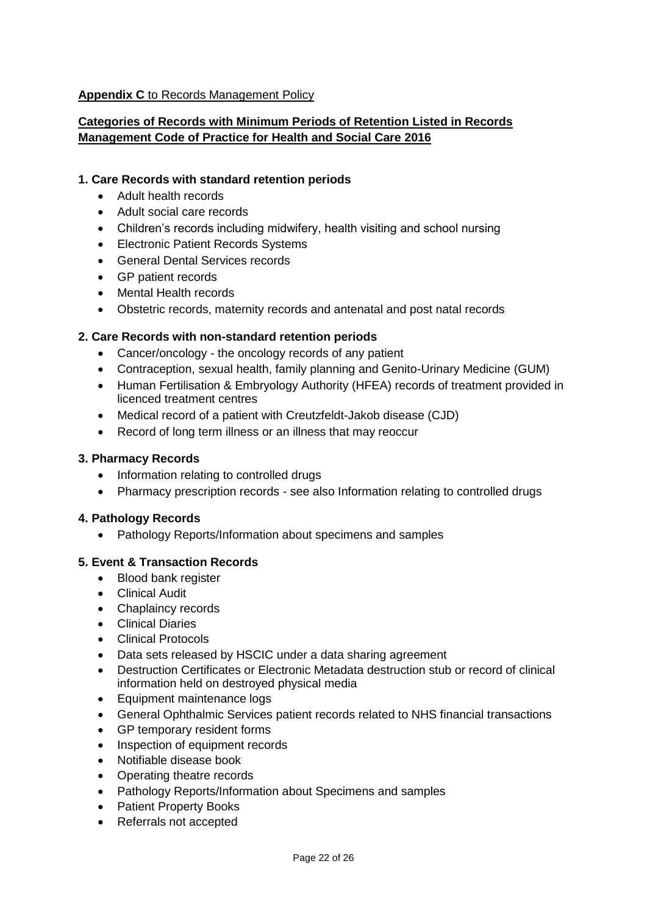## **Appendix C** to Records Management Policy

# **Categories of Records with Minimum Periods of Retention Listed in Records Management Code of Practice for Health and Social Care 2016**

## **1. Care Records with standard retention periods**

- Adult health records
- Adult social care records
- Children's records including midwifery, health visiting and school nursing
- Electronic Patient Records Systems
- General Dental Services records
- GP patient records
- Mental Health records
- Obstetric records, maternity records and antenatal and post natal records

## **2. Care Records with non-standard retention periods**

- Cancer/oncology the oncology records of any patient
- Contraception, sexual health, family planning and Genito-Urinary Medicine (GUM)
- Human Fertilisation & Embryology Authority (HFEA) records of treatment provided in licenced treatment centres
- Medical record of a patient with Creutzfeldt-Jakob disease (CJD)
- Record of long term illness or an illness that may reoccur

#### **3. Pharmacy Records**

- Information relating to controlled drugs
- Pharmacy prescription records see also Information relating to controlled drugs

#### **4. Pathology Records**

• Pathology Reports/Information about specimens and samples

#### **5. Event & Transaction Records**

- Blood bank register
- Clinical Audit
- Chaplaincy records
- **•** Clinical Diaries
- Clinical Protocols
- Data sets released by HSCIC under a data sharing agreement
- Destruction Certificates or Electronic Metadata destruction stub or record of clinical information held on destroyed physical media
- Equipment maintenance logs
- General Ophthalmic Services patient records related to NHS financial transactions
- GP temporary resident forms
- Inspection of equipment records
- Notifiable disease book
- Operating theatre records
- Pathology Reports/Information about Specimens and samples
- Patient Property Books
- Referrals not accepted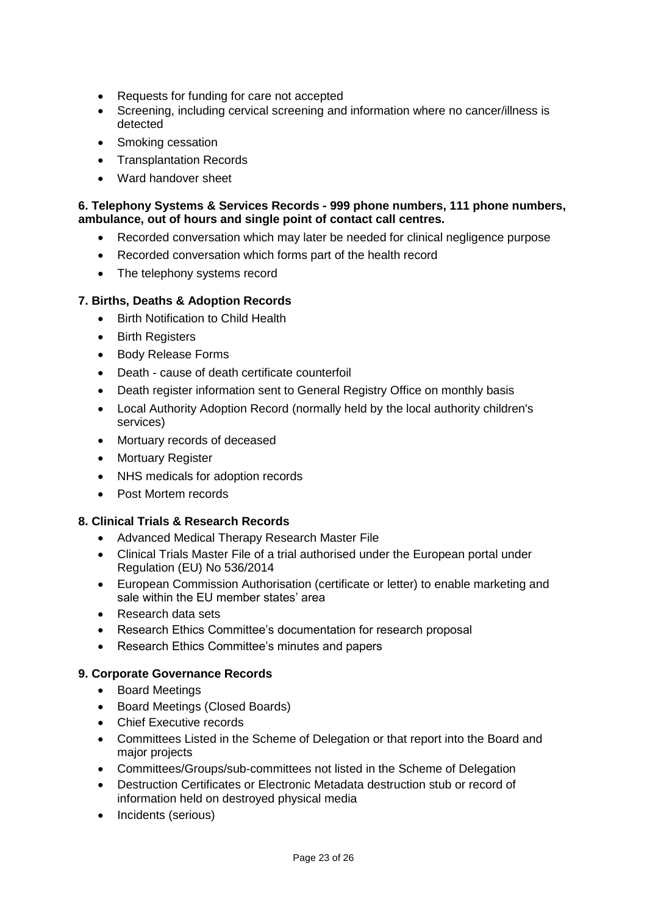- Requests for funding for care not accepted
- Screening, including cervical screening and information where no cancer/illness is detected
- Smoking cessation
- Transplantation Records
- Ward handover sheet

### **6. Telephony Systems & Services Records - 999 phone numbers, 111 phone numbers, ambulance, out of hours and single point of contact call centres.**

- Recorded conversation which may later be needed for clinical negligence purpose
- Recorded conversation which forms part of the health record
- The telephony systems record

# **7. Births, Deaths & Adoption Records**

- Birth Notification to Child Health
- Birth Registers
- Body Release Forms
- Death cause of death certificate counterfoil
- Death register information sent to General Registry Office on monthly basis
- Local Authority Adoption Record (normally held by the local authority children's services)
- Mortuary records of deceased
- Mortuary Register
- NHS medicals for adoption records
- Post Mortem records

#### **8. Clinical Trials & Research Records**

- Advanced Medical Therapy Research Master File
- Clinical Trials Master File of a trial authorised under the European portal under Regulation (EU) No 536/2014
- European Commission Authorisation (certificate or letter) to enable marketing and sale within the EU member states' area
- Research data sets
- Research Ethics Committee's documentation for research proposal
- Research Ethics Committee's minutes and papers

#### **9. Corporate Governance Records**

- Board Meetings
- Board Meetings (Closed Boards)
- Chief Executive records
- Committees Listed in the Scheme of Delegation or that report into the Board and major projects
- Committees/Groups/sub-committees not listed in the Scheme of Delegation
- Destruction Certificates or Electronic Metadata destruction stub or record of information held on destroyed physical media
- Incidents (serious)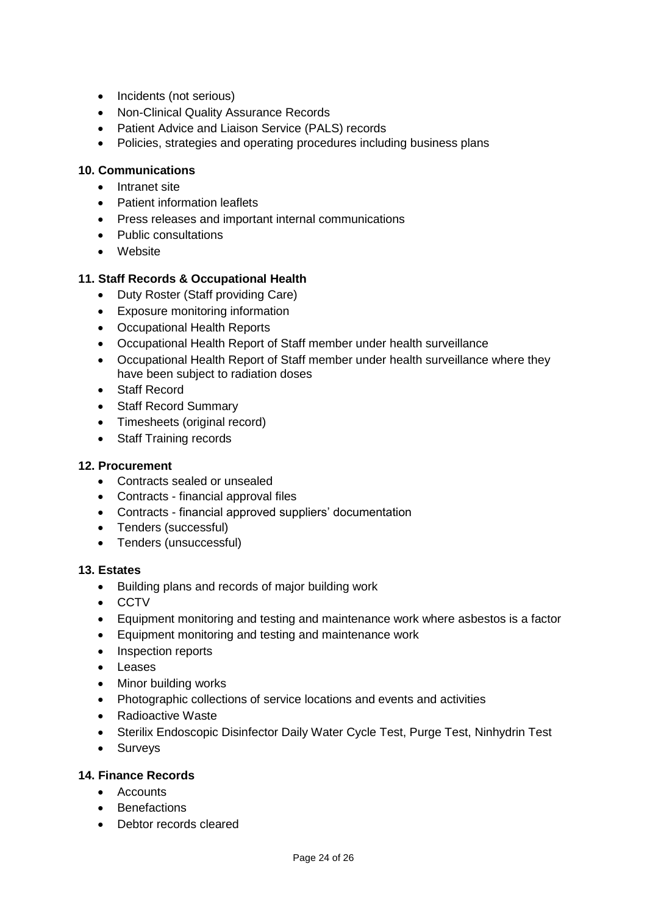- Incidents (not serious)
- Non-Clinical Quality Assurance Records
- Patient Advice and Liaison Service (PALS) records
- Policies, strategies and operating procedures including business plans

## **10. Communications**

- Intranet site
- Patient information leaflets
- Press releases and important internal communications
- Public consultations
- Website

# **11. Staff Records & Occupational Health**

- Duty Roster (Staff providing Care)
- Exposure monitoring information
- Occupational Health Reports
- Occupational Health Report of Staff member under health surveillance
- Occupational Health Report of Staff member under health surveillance where they have been subject to radiation doses
- Staff Record
- Staff Record Summary
- Timesheets (original record)
- Staff Training records

#### **12. Procurement**

- Contracts sealed or unsealed
- Contracts financial approval files
- Contracts financial approved suppliers' documentation
- Tenders (successful)
- Tenders (unsuccessful)

#### **13. Estates**

- Building plans and records of major building work
- CCTV
- Equipment monitoring and testing and maintenance work where asbestos is a factor
- Equipment monitoring and testing and maintenance work
- Inspection reports
- Leases
- Minor building works
- Photographic collections of service locations and events and activities
- Radioactive Waste
- Sterilix Endoscopic Disinfector Daily Water Cycle Test, Purge Test, Ninhydrin Test
- Surveys

#### **14. Finance Records**

- Accounts
- Benefactions
- Debtor records cleared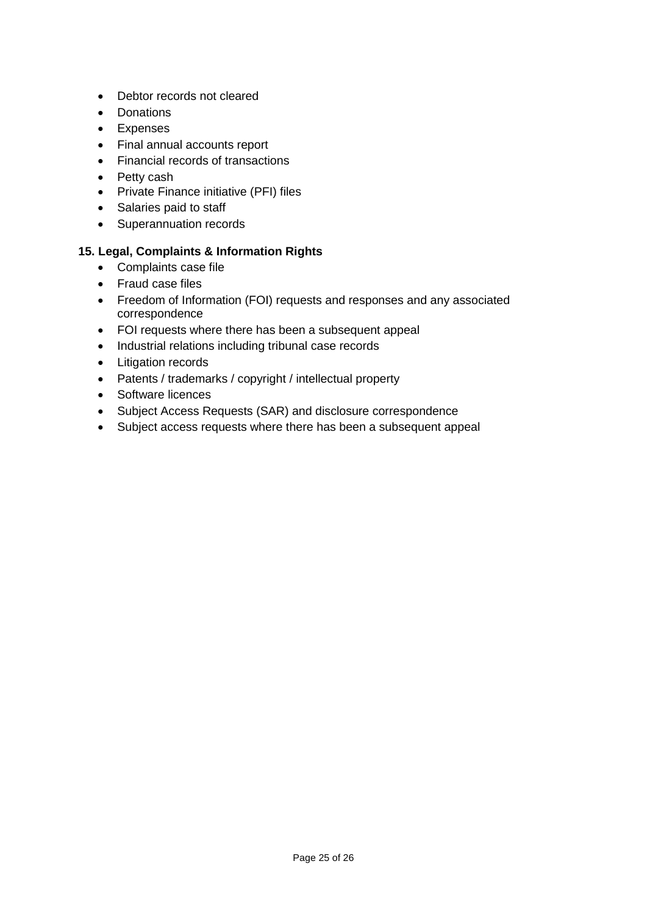- Debtor records not cleared
- Donations
- Expenses
- Final annual accounts report
- Financial records of transactions
- Petty cash
- Private Finance initiative (PFI) files
- Salaries paid to staff
- Superannuation records

## **15. Legal, Complaints & Information Rights**

- Complaints case file
- Fraud case files
- Freedom of Information (FOI) requests and responses and any associated correspondence
- FOI requests where there has been a subsequent appeal
- Industrial relations including tribunal case records
- Litigation records
- Patents / trademarks / copyright / intellectual property
- Software licences
- Subject Access Requests (SAR) and disclosure correspondence
- Subject access requests where there has been a subsequent appeal